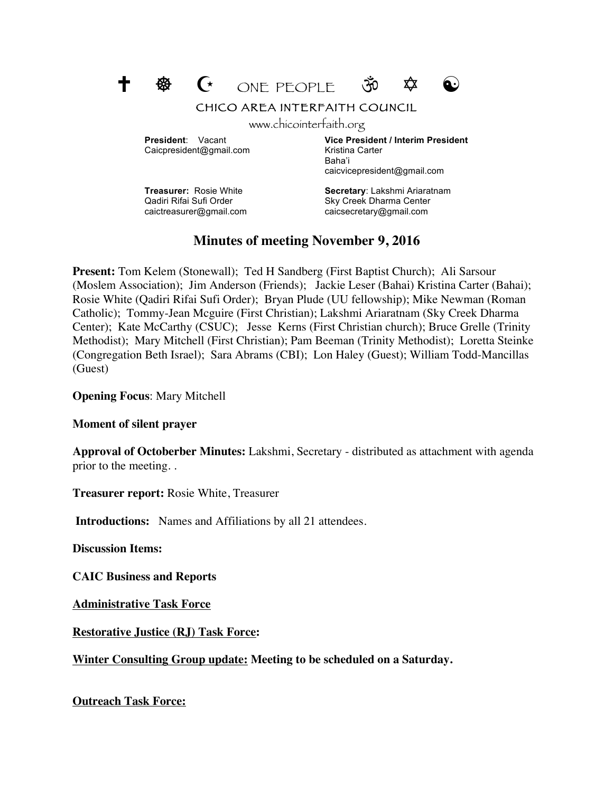

CHICO AREA INTERFAITH COUNCIL

www.chicointerfaith.org

Caicpresident@gmail.com Kristina Carter

**President**: Vacant **Vice President / Interim President** Baha'i caicvicepresident@gmail.com

caictreasurer@gmail.com caicsecretary@gmail.com

**Treasurer:** Rosie White **Secretary:** Lakshmi Ariaratnam Qadiri Rifai Sufi Order Sky Creek Dharma Center

## **Minutes of meeting November 9, 2016**

**Present:** Tom Kelem (Stonewall); Ted H Sandberg (First Baptist Church); Ali Sarsour (Moslem Association); Jim Anderson (Friends); Jackie Leser (Bahai) Kristina Carter (Bahai); Rosie White (Qadiri Rifai Sufi Order); Bryan Plude (UU fellowship); Mike Newman (Roman Catholic); Tommy-Jean Mcguire (First Christian); Lakshmi Ariaratnam (Sky Creek Dharma Center); Kate McCarthy (CSUC); Jesse Kerns (First Christian church); Bruce Grelle (Trinity Methodist); Mary Mitchell (First Christian); Pam Beeman (Trinity Methodist); Loretta Steinke (Congregation Beth Israel); Sara Abrams (CBI); Lon Haley (Guest); William Todd-Mancillas (Guest)

**Opening Focus**: Mary Mitchell

**Moment of silent prayer** 

**Approval of Octoberber Minutes:** Lakshmi, Secretary - distributed as attachment with agenda prior to the meeting. .

**Treasurer report:** Rosie White, Treasurer

**Introductions:** Names and Affiliations by all 21 attendees.

**Discussion Items:**

**CAIC Business and Reports**

**Administrative Task Force**

**Restorative Justice (RJ) Task Force:**

**Winter Consulting Group update: Meeting to be scheduled on a Saturday.** 

**Outreach Task Force:**